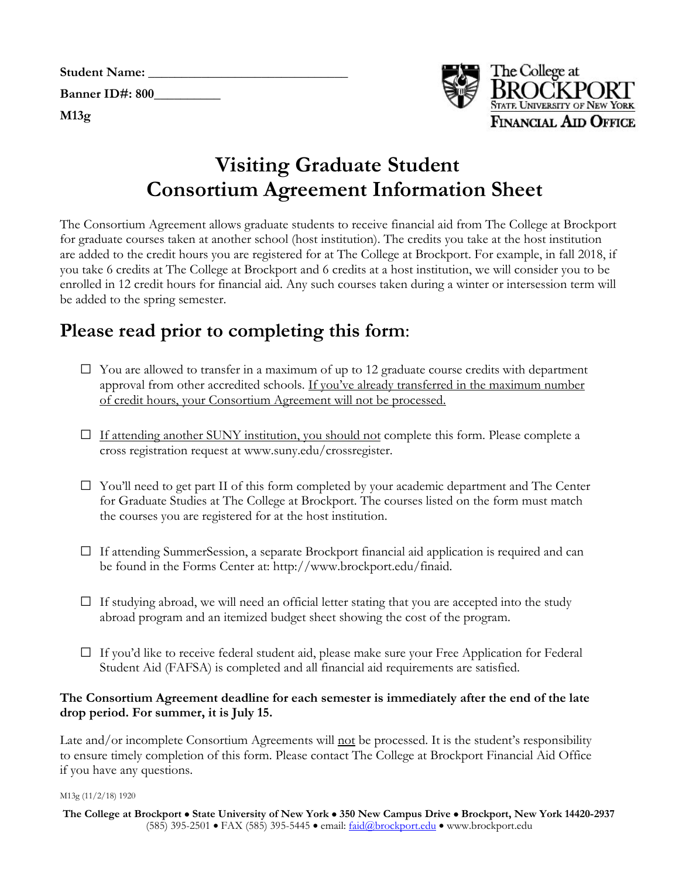| <b>Student Name:</b> |  |
|----------------------|--|
| Banner ID#: 800      |  |
| M13g                 |  |



# **Visiting Graduate Student Consortium Agreement Information Sheet**

 The Consortium Agreement allows graduate students to receive financial aid from The College at Brockport for graduate courses taken at another school (host institution). The credits you take at the host institution be added to the spring semester. are added to the credit hours you are registered for at The College at Brockport. For example, in fall 2018, if you take 6 credits at The College at Brockport and 6 credits at a host institution, we will consider you to be enrolled in 12 credit hours for financial aid. Any such courses taken during a winter or intersession term will

# **Please read prior to completing this form**:

- □ You are allowed to transfer in a maximum of up to 12 graduate course credits with department approval from other accredited schools. If you've already transferred in the maximum number of credit hours, your Consortium Agreement will not be processed.
- □ If attending another SUNY institution, you should not complete this form. Please complete a cross registration request at www.suny.edu/crossregister.
- □ You'll need to get part II of this form completed by your academic department and The Center for Graduate Studies at The College at Brockport. The courses listed on the form must match the courses you are registered for at the host institution.
- □ If attending SummerSession, a separate Brockport financial aid application is required and can be found in the Forms Center at: http://www.brockport.edu/finaid.
- □ If studying abroad, we will need an official letter stating that you are accepted into the study abroad program and an itemized budget sheet showing the cost of the program.
- $\square$  If you'd like to receive federal student aid, please make sure your Free Application for Federal Student Aid (FAFSA) is completed and all financial aid requirements are satisfied.

### **The Consortium Agreement deadline for each semester is immediately after the end of the late drop period. For summer, it is July 15.**

Late and/or incomplete Consortium Agreements will not be processed. It is the student's responsibility to ensure timely completion of this form. Please contact The College at Brockport Financial Aid Office if you have any questions.

M13g (11/2/18) 1920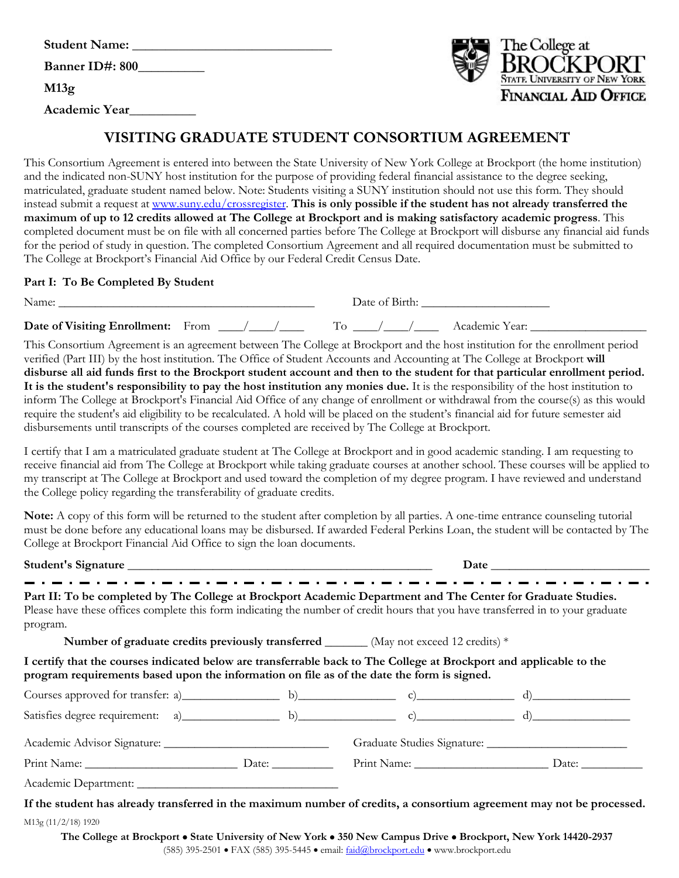| <b>Student Name:</b> |
|----------------------|
| Banner ID#: 800      |
| M13g                 |
| Academic Year        |



## **VISITING GRADUATE STUDENT CONSORTIUM AGREEMENT**

 This Consortium Agreement is entered into between the State University of New York College at Brockport (the home institution) and the indicated non-SUNY host institution for the purpose of providing federal financial assistance to the degree seeking, matriculated, graduate student named below. Note: Students visiting a SUNY institution should not use this form. They should instead submit a request at [www.suny.edu/crossregister.](http://www.suny.edu/crossregister) **This is only possible if the student has not already transferred the maximum of up to 12 credits allowed at The College at Brockport and is making satisfactory academic progress**. This for the period of study in question. The completed Consortium Agreement and all required documentation must be submitted to The College at Brockport's Financial Aid Office by our Federal Credit Census Date. completed document must be on file with all concerned parties before The College at Brockport will disburse any financial aid funds

#### **Part I: To Be Completed By Student**

| Name:                             |  | Jate of Birth |                            |
|-----------------------------------|--|---------------|----------------------------|
| Date of Visiting Enrollment: From |  |               | Academic Year <sup>.</sup> |

 This Consortium Agreement is an agreement between The College at Brockport and the host institution for the enrollment period  **disburse all aid funds first to the Brockport student account and then to the student for that particular enrollment period. It is the student's responsibility to pay the host institution any monies due.** It is the responsibility of the host institution to inform The College at Brockport's Financial Aid Office of any change of enrollment or withdrawal from the course(s) as this would require the student's aid eligibility to be recalculated. A hold will be placed on the student's financial aid for future semester aid disbursements until transcripts of the courses completed are received by The College at Brockport. verified (Part III) by the host institution. The Office of Student Accounts and Accounting at The College at Brockport **will** 

disbursements until transcripts of the courses completed are received by The College at Brockport.<br>I certify that I am a matriculated graduate student at The College at Brockport and in good academic standing. I am request receive financial aid from The College at Brockport while taking graduate courses at another school. These courses will be applied to my transcript at The College at Brockport and used toward the completion of my degree program. I have reviewed and understand the College policy regarding the transferability of graduate credits.

 **Note:** A copy of this form will be returned to the student after completion by all parties. A one-time entrance counseling tutorial must be done before any educational loans may be disbursed. If awarded Federal Perkins Loan, the student will be contacted by The College at Brockport Financial Aid Office to sign the loan documents.

#### **Student's Signature** \_\_\_\_\_\_\_\_\_\_\_\_\_\_\_\_\_\_\_\_\_\_\_\_\_\_\_\_\_\_\_\_\_\_\_\_\_\_\_\_\_\_\_\_\_\_\_\_\_\_ **Date** \_\_\_\_\_\_\_\_\_\_\_\_\_\_\_\_\_\_\_\_\_\_\_\_\_\_

Part II: To be completed by The College at Brockport Academic Department and The Center for Graduate Studies. Please have these offices complete this form indicating the number of credit hours that you have transferred in to your graduate program.

**Number of graduate credits previously transferred \_\_\_\_\_\_** (May not exceed 12 credits) \*

 **I certify that the courses indicated below are transferrable back to The College at Brockport and applicable to the program requirements based upon the information on file as of the date the form is signed.** 

| Courses approved for transfer: a) $\qquad \qquad$ b) $\qquad \qquad$ c) $\qquad \qquad$ d)                            |  |  |
|-----------------------------------------------------------------------------------------------------------------------|--|--|
| Satisfies degree requirement: a) b b c) c) and c) d)                                                                  |  |  |
|                                                                                                                       |  |  |
| Print Name: Date:                                                                                                     |  |  |
|                                                                                                                       |  |  |
| If the student has already transferred in the maximum number of credits, a consortium agreement may not be processed. |  |  |

M13g (11/2/18) 1920

 **The College at Brockport** • **State University of New York** • **350 New Campus Drive** • **Brockport, New York 14420-2937**  (585) 395-2501 • FAX (585) 395-5445 • email: [faid@brockport.edu](mailto:faid@brockport.edu) • [www.brockport.edu](http://www.brockport.edu/)